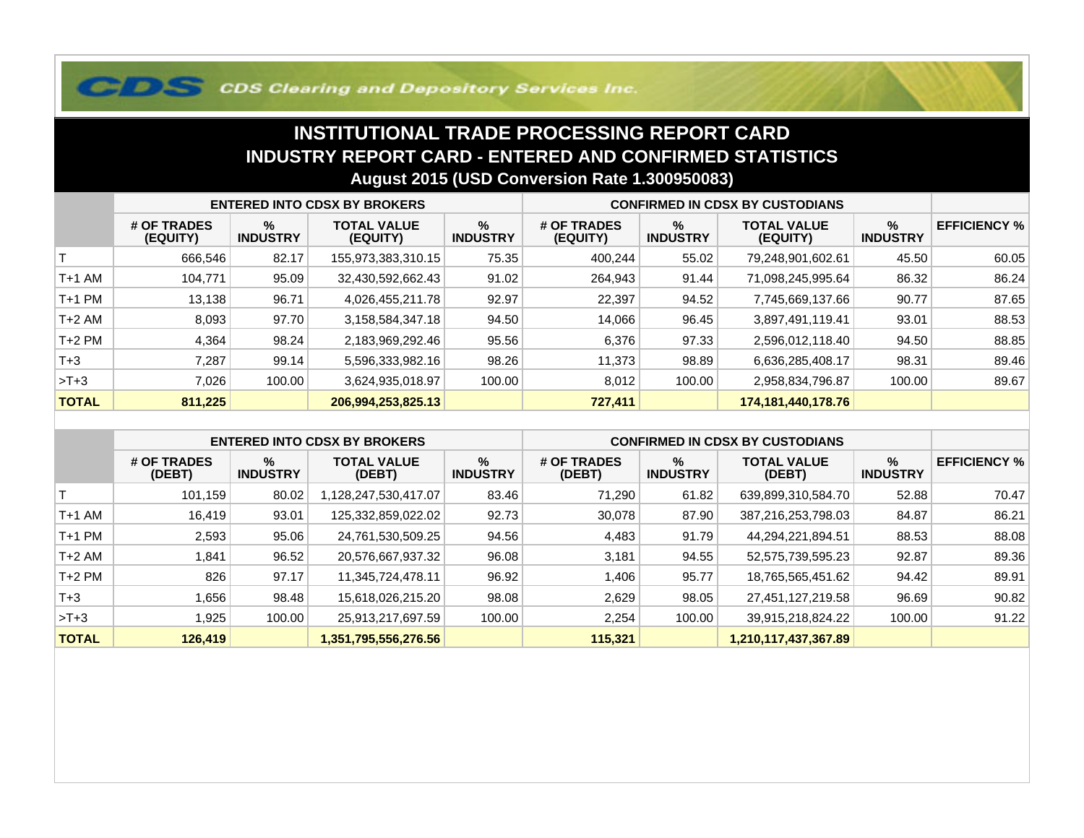## **COS Clearing and Depository Services Inc.**

## **INSTITUTIONAL TRADE PROCESSING REPORT CARD INDUSTRY REPORT CARD - ENTERED AND CONFIRMED STATISTICSAugust 2015 (USD Conversion Rate 1.300950083)**

|              | <b>ENTERED INTO CDSX BY BROKERS</b> |                         |                                |                         | <b>CONFIRMED IN CDSX BY CUSTODIANS</b> |                      |                                |                         |                     |
|--------------|-------------------------------------|-------------------------|--------------------------------|-------------------------|----------------------------------------|----------------------|--------------------------------|-------------------------|---------------------|
|              | # OF TRADES<br>(EQUITY)             | $\%$<br><b>INDUSTRY</b> | <b>TOTAL VALUE</b><br>(EQUITY) | $\%$<br><b>INDUSTRY</b> | # OF TRADES<br>(EQUITY)                | %<br><b>INDUSTRY</b> | <b>TOTAL VALUE</b><br>(EQUITY) | $\%$<br><b>INDUSTRY</b> | <b>EFFICIENCY %</b> |
|              | 666,546                             | 82.17                   | 155,973,383,310.15             | 75.35                   | 400,244                                | 55.02                | 79,248,901,602.61              | 45.50                   | 60.05               |
| $T+1$ AM     | 104.771                             | 95.09                   | 32,430,592,662.43              | 91.02                   | 264,943                                | 91.44                | 71,098,245,995.64              | 86.32                   | 86.24               |
| T+1 PM       | 13,138                              | 96.71                   | 4,026,455,211.78               | 92.97                   | 22,397                                 | 94.52                | 7,745,669,137.66               | 90.77                   | 87.65               |
| T+2 AM       | 8,093                               | 97.70                   | 3,158,584,347.18               | 94.50                   | 14,066                                 | 96.45                | 3,897,491,119.41               | 93.01                   | 88.53               |
| $T+2$ PM     | 4,364                               | 98.24                   | 2,183,969,292.46               | 95.56                   | 6,376                                  | 97.33                | 2,596,012,118.40               | 94.50                   | 88.85               |
| $T+3$        | 7,287                               | 99.14                   | 5,596,333,982.16               | 98.26                   | 11,373                                 | 98.89                | 6,636,285,408.17               | 98.31                   | 89.46               |
| $>T+3$       | 7.026                               | 100.00                  | 3,624,935,018.97               | 100.00                  | 8,012                                  | 100.00               | 2,958,834,796.87               | 100.00                  | 89.67               |
| <b>TOTAL</b> | 811,225                             |                         | 206,994,253,825.13             |                         | 727,411                                |                      | 174, 181, 440, 178. 76         |                         |                     |

|              | <b>ENTERED INTO CDSX BY BROKERS</b> |                      |                              |                         | <b>CONFIRMED IN CDSX BY CUSTODIANS</b> |                      |                              |                      |                     |
|--------------|-------------------------------------|----------------------|------------------------------|-------------------------|----------------------------------------|----------------------|------------------------------|----------------------|---------------------|
|              | # OF TRADES<br>(DEBT)               | %<br><b>INDUSTRY</b> | <b>TOTAL VALUE</b><br>(DEBT) | $\%$<br><b>INDUSTRY</b> | # OF TRADES<br>(DEBT)                  | %<br><b>INDUSTRY</b> | <b>TOTAL VALUE</b><br>(DEBT) | %<br><b>INDUSTRY</b> | <b>EFFICIENCY %</b> |
|              | 101,159                             | 80.02                | 128,247,530,417.07           | 83.46                   | 71,290                                 | 61.82                | 639,899,310,584.70           | 52.88                | 70.47               |
| $T+1$ AM     | 16,419                              | 93.01                | 125,332,859,022.02           | 92.73                   | 30,078                                 | 87.90                | 387,216,253,798.03           | 84.87                | 86.21               |
| $T+1$ PM     | 2,593                               | 95.06                | 24,761,530,509.25            | 94.56                   | 4,483                                  | 91.79                | 44,294,221,894.51            | 88.53                | 88.08               |
| $T+2$ AM     | 841.ا                               | 96.52                | 20,576,667,937.32            | 96.08                   | 3,181                                  | 94.55                | 52,575,739,595.23            | 92.87                | 89.36               |
| $T+2$ PM     | 826                                 | 97.17                | 11,345,724,478.11            | 96.92                   | ,406                                   | 95.77                | 18,765,565,451.62            | 94.42                | 89.91               |
| $T+3$        | .656                                | 98.48                | 15,618,026,215.20            | 98.08                   | 2.629                                  | 98.05                | 27,451,127,219.58            | 96.69                | 90.82               |
| $>T+3$       | .925                                | 100.00               | 25,913,217,697.59            | 100.00                  | 2,254                                  | 100.00               | 39,915,218,824.22            | 100.00               | 91.22               |
| <b>TOTAL</b> | 126,419                             |                      | 1,351,795,556,276.56         |                         | 115,321                                |                      | 1,210,117,437,367.89         |                      |                     |